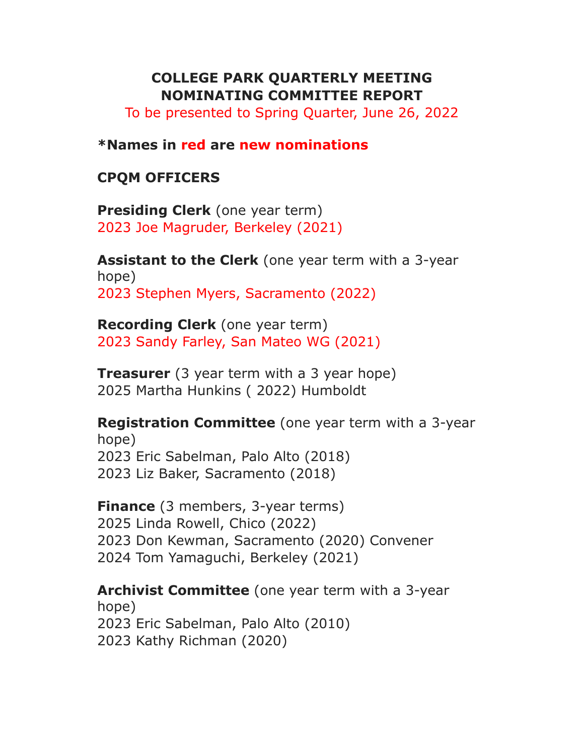## **COLLEGE PARK QUARTERLY MEETING NOMINATING COMMITTEE REPORT**

To be presented to Spring Quarter, June 26, 2022

#### **\*Names in red are new nominations**

#### **CPQM OFFICERS**

**Presiding Clerk** (one year term) 2023 Joe Magruder, Berkeley (2021)

**Assistant to the Clerk** (one year term with a 3-year hope) 2023 Stephen Myers, Sacramento (2022)

**Recording Clerk** (one year term) 2023 Sandy Farley, San Mateo WG (2021)

**Treasurer** (3 year term with a 3 year hope) 2025 Martha Hunkins ( 2022) Humboldt

**Registration Committee** (one year term with a 3-year hope) 2023 Eric Sabelman, Palo Alto (2018) 2023 Liz Baker, Sacramento (2018)

**Finance** (3 members, 3-year terms) Linda Rowell, Chico (2022) Don Kewman, Sacramento (2020) Convener Tom Yamaguchi, Berkeley (2021)

**Archivist Committee** (one year term with a 3-year hope) 2023 Eric Sabelman, Palo Alto (2010) 2023 Kathy Richman (2020)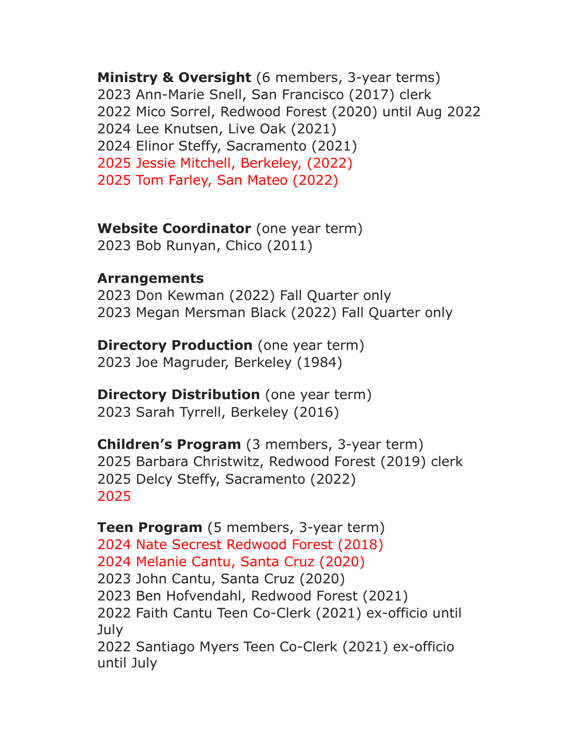**Ministry & Oversight** (6 members, 3-year terms) Ann-Marie Snell, San Francisco (2017) clerk Mico Sorrel, Redwood Forest (2020) until Aug 2022 Lee Knutsen, Live Oak (2021) Elinor Steffy, Sacramento (2021) Jessie Mitchell, Berkeley, (2022) Tom Farley, San Mateo (2022)

**Website Coordinator** (one year term) Bob Runyan, Chico (2011)

## **Arrangements**

 Don Kewman (2022) Fall Quarter only Megan Mersman Black (2022) Fall Quarter only

**Directory Production** (one year term) Joe Magruder, Berkeley (1984)

**Directory Distribution** (one year term) Sarah Tyrrell, Berkeley (2016)

**Children's Program** (3 members, 3-year term) Barbara Christwitz, Redwood Forest (2019) clerk Delcy Steffy, Sacramento (2022) 

**Teen Program** (5 members, 3-year term) Nate Secrest Redwood Forest (2018) Melanie Cantu, Santa Cruz (2020) John Cantu, Santa Cruz (2020) Ben Hofvendahl, Redwood Forest (2021) Faith Cantu Teen Co-Clerk (2021) ex-officio until July Santiago Myers Teen Co-Clerk (2021) ex-officio until July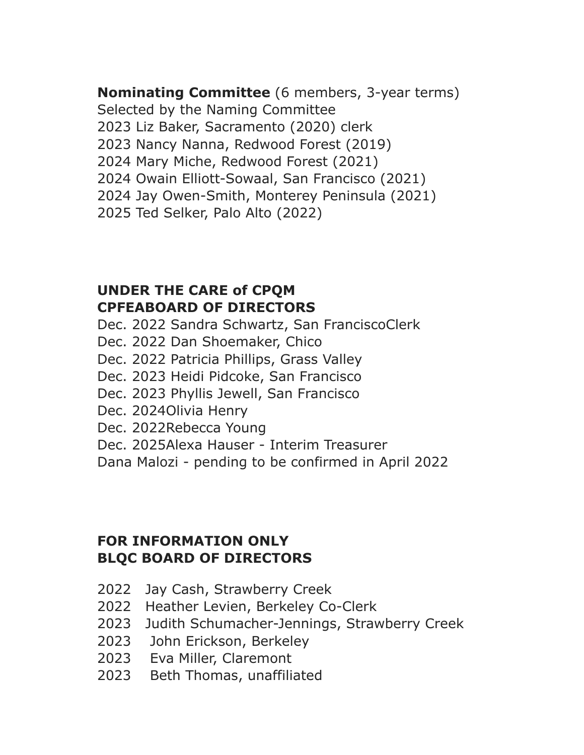**Nominating Committee** (6 members, 3-year terms) Selected by the Naming Committee Liz Baker, Sacramento (2020) clerk Nancy Nanna, Redwood Forest (2019) Mary Miche, Redwood Forest (2021) Owain Elliott-Sowaal, San Francisco (2021) Jay Owen-Smith, Monterey Peninsula (2021) Ted Selker, Palo Alto (2022)

## **UNDER THE CARE of CPQM CPFEABOARD OF DIRECTORS**

- Dec. 2022 Sandra Schwartz, San FranciscoClerk
- Dec. 2022 Dan Shoemaker, Chico
- Dec. 2022 Patricia Phillips, Grass Valley
- Dec. 2023 Heidi Pidcoke, San Francisco
- Dec. 2023 Phyllis Jewell, San Francisco
- Dec. 2024Olivia Henry
- Dec. 2022Rebecca Young
- Dec. 2025Alexa Hauser Interim Treasurer

Dana Malozi - pending to be confirmed in April 2022

# **FOR INFORMATION ONLY BLQC BOARD OF DIRECTORS**

- 2022 Jay Cash, Strawberry Creek
- 2022 Heather Levien, Berkeley Co-Clerk
- 2023 Judith Schumacher-Jennings, Strawberry Creek
- 2023 John Erickson, Berkeley
- 2023 Eva Miller, Claremont
- 2023 Beth Thomas, unaffiliated